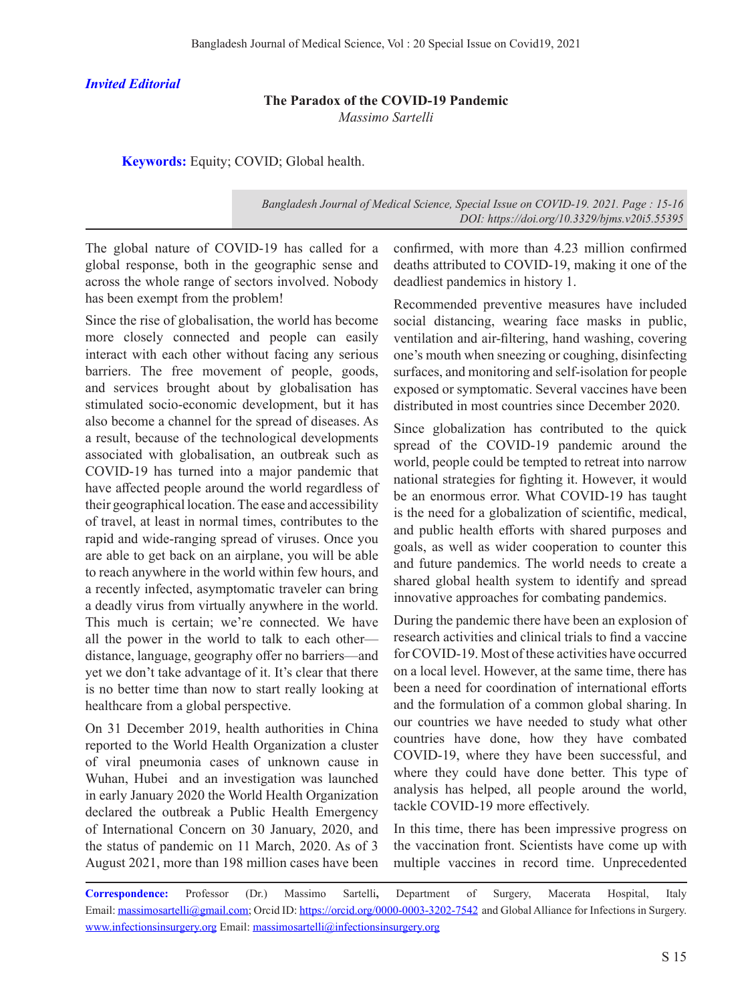*Invited Editorial*

## **The Paradox of the COVID-19 Pandemic**

*Massimo Sartelli*

**Keywords:** Equity; COVID; Global health.

*Bangladesh Journal of Medical Science, Special Issue on COVID-19. 2021. Page : 15-16 DOI: https://doi.org/10.3329/bjms.v20i5.55395* 

The global nature of COVID-19 has called for a global response, both in the geographic sense and across the whole range of sectors involved. Nobody has been exempt from the problem!

Since the rise of globalisation, the world has become more closely connected and people can easily interact with each other without facing any serious barriers. The free movement of people, goods, and services brought about by globalisation has stimulated socio-economic development, but it has also become a channel for the spread of diseases. As a result, because of the technological developments associated with globalisation, an outbreak such as COVID-19 has turned into a major pandemic that have affected people around the world regardless of their geographical location. The ease and accessibility of travel, at least in normal times, contributes to the rapid and wide-ranging spread of viruses. Once you are able to get back on an airplane, you will be able to reach anywhere in the world within few hours, and a recently infected, asymptomatic traveler can bring a deadly virus from virtually anywhere in the world. This much is certain; we're connected. We have all the power in the world to talk to each other distance, language, geography offer no barriers—and yet we don't take advantage of it. It's clear that there is no better time than now to start really looking at healthcare from a global perspective.

On 31 December 2019, health authorities in China reported to the World Health Organization a cluster of viral pneumonia cases of unknown cause in Wuhan, Hubei and an investigation was launched in early January 2020 the World Health Organization declared the outbreak a Public Health Emergency of International Concern on 30 January, 2020, and the status of pandemic on 11 March, 2020. As of 3 August 2021, more than 198 million cases have been

confirmed, with more than 4.23 million confirmed deaths attributed to COVID-19, making it one of the deadliest pandemics in history 1.

Recommended preventive measures have included social distancing, wearing face masks in public, ventilation and air-filtering, hand washing, covering one's mouth when sneezing or coughing, disinfecting surfaces, and monitoring and self-isolation for people exposed or symptomatic. Several vaccines have been distributed in most countries since December 2020.

Since globalization has contributed to the quick spread of the COVID-19 pandemic around the world, people could be tempted to retreat into narrow national strategies for fighting it. However, it would be an enormous error. What COVID-19 has taught is the need for a globalization of scientific, medical, and public health efforts with shared purposes and goals, as well as wider cooperation to counter this and future pandemics. The world needs to create a shared global health system to identify and spread innovative approaches for combating pandemics.

During the pandemic there have been an explosion of research activities and clinical trials to find a vaccine for COVID-19. Most of these activities have occurred on a local level. However, at the same time, there has been a need for coordination of international efforts and the formulation of a common global sharing. In our countries we have needed to study what other countries have done, how they have combated COVID-19, where they have been successful, and where they could have done better. This type of analysis has helped, all people around the world, tackle COVID-19 more effectively.

In this time, there has been impressive progress on the vaccination front. Scientists have come up with multiple vaccines in record time. Unprecedented

**Correspondence:** Professor (Dr.) Massimo Sartelli**,** Department of Surgery, Macerata Hospital, Italy Email: massimosartelli@gmail.com; Orcid ID: https://orcid.org/0000-0003-3202-7542 and Global Alliance for Infections in Surgery. www.infectionsinsurgery.org Email: massimosartelli@infectionsinsurgery.org